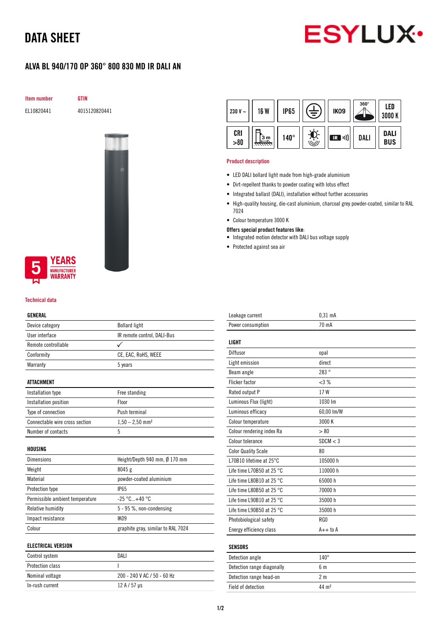# DATA SHEET



## ALVA BL 940/170 OP 360° 800 830 MD IR DALI AN

Item number GTIN

EL10820441 4015120820441



### **EARS UFACTURER** *NARRANTY*

#### Technical data

### GENERAL

| Device category                 | <b>Bollard light</b>               |  |
|---------------------------------|------------------------------------|--|
| User interface                  | IR remote control, DALI-Bus        |  |
| Remote controllable             |                                    |  |
| Conformity                      | CE, EAC, RoHS, WEEE                |  |
| Warranty                        | 5 years                            |  |
| <b>ATTACHMENT</b>               |                                    |  |
| Installation type               | Free standing                      |  |
| Installation position           | Floor                              |  |
| Type of connection              | Push terminal                      |  |
| Connectable wire cross section  | $1,50 - 2,50$ mm <sup>2</sup>      |  |
| Number of contacts              | 5                                  |  |
| HOUSING                         |                                    |  |
| <b>Dimensions</b>               | Height/Depth 940 mm, Ø 170 mm      |  |
| Weight                          | 8045 g                             |  |
| Material                        | powder-coated aluminium            |  |
| Protection type                 | <b>IP65</b>                        |  |
| Permissible ambient temperature | $-25 °C+40 °C$                     |  |
| Relative humidity               | 5 - 95 %, non-condensing           |  |
| Impact resistance               | <b>IK09</b>                        |  |
| Colour                          | graphite gray, similar to RAL 7024 |  |
| <b>ELECTRICAL VERSION</b>       |                                    |  |
| Control system                  | DALI                               |  |
| <b>Protection class</b>         | ı                                  |  |
| Nominal voltage                 | 200 - 240 V AC / 50 - 60 Hz        |  |

In-rush current  $12 A / 57 \mu s$ 

| 230 V $\sim$ | <b>16 W</b> | <b>IP65</b> |      | IK <sub>09</sub> | $360^\circ$ | LED<br>3000 K             |
|--------------|-------------|-------------|------|------------------|-------------|---------------------------|
| CRI<br>> 80  | 3 m         | $140^\circ$ | رٺيا | (((ر (<br>IR     | DALI        | <b>DALI</b><br><b>BUS</b> |

#### Product description

- LED DALI bollard light made from high-grade aluminium
- Dirt-repellent thanks to powder coating with lotus effect
- Integrated ballast (DALI), installation without further accessories
- High-quality housing, die-cast aluminium, charcoal grey powder-coated, similar to RAL 7024
- Colour temperature 3000 K
- Offers special product features like:
- Integrated motion detector with DALI bus voltage supply
- Protected against sea air

| Leakage current                     | $0,31$ mA         |
|-------------------------------------|-------------------|
| Power consumption                   | 70 mA             |
|                                     |                   |
| LIGHT                               |                   |
| Diffusor                            | opal              |
| Light emission                      | direct            |
| Beam angle                          | 283°              |
| <b>Flicker factor</b>               | <3%               |
| Rated output P                      | 17W               |
| Luminous Flux (light)               | 1030 lm           |
| Luminous efficacy                   | 60,00 lm/W        |
| Colour temperature                  | 3000 K            |
| Colour rendering index Ra           | > 80              |
| Colour tolerance                    | SDCM < 3          |
| <b>Color Quality Scale</b>          | 80                |
| L70B10 lifetime at 25°C             | 105000 h          |
| Life time L70B50 at 25 $^{\circ}$ C | 110000 h          |
| Life time L80B10 at 25 °C           | 65000h            |
| Life time L80B50 at 25 $^{\circ}$ C | 70000 h           |
| Life time L90B10 at 25 $^{\circ}$ C | 35000h            |
| Life time L90B50 at 25 °C           | 35000 h           |
| Photobiological safety              | RG0               |
| Energy efficiency class             | $A++$ to $A$      |
|                                     |                   |
| <b>SENSORS</b>                      |                   |
| Detection angle                     | $140^\circ$       |
| Detection range diagonally          | 6 <sub>m</sub>    |
| Detection range head-on             | 2 <sub>m</sub>    |
| Field of detection                  | 44 m <sup>2</sup> |